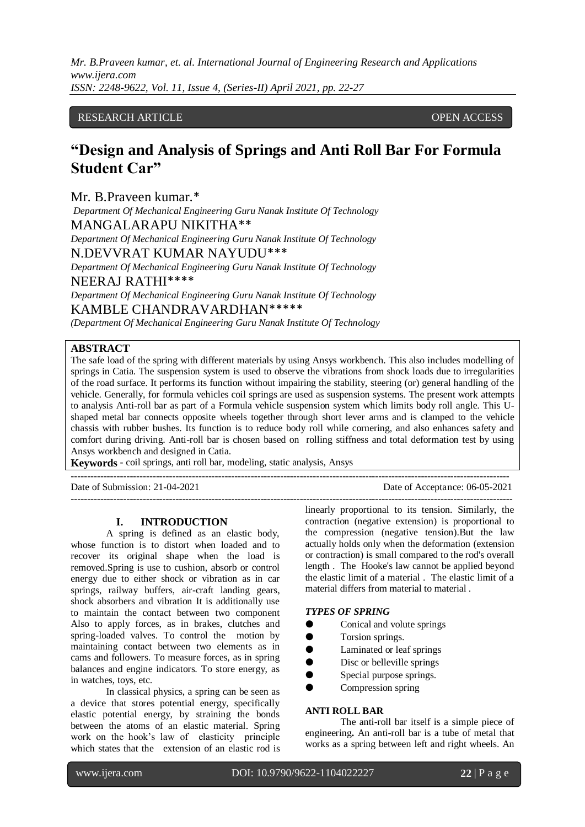# RESEARCH ARTICLE **CONSERVERS** OPEN ACCESS

# **"Design and Analysis of Springs and Anti Roll Bar For Formula Student Car"**

Mr. B.Praveen kumar.\*

*Department Of Mechanical Engineering Guru Nanak Institute Of Technology*  MANGALARAPU NIKITHA\*\*

*Department Of Mechanical Engineering Guru Nanak Institute Of Technology*  N.DEVVRAT KUMAR NAYUDU\*\*\*

*Department Of Mechanical Engineering Guru Nanak Institute Of Technology*  NEERAJ RATHI\*\*\*\*

*Department Of Mechanical Engineering Guru Nanak Institute Of Technology*  KAMBLE CHANDRAVARDHAN\*\*\*\*\*

*(Department Of Mechanical Engineering Guru Nanak Institute Of Technology* 

# **ABSTRACT**

The safe load of the spring with different materials by using Ansys workbench. This also includes modelling of springs in Catia. The suspension system is used to observe the vibrations from shock loads due to irregularities of the road surface. It performs its function without impairing the stability, steering (or) general handling of the vehicle. Generally, for formula vehicles coil springs are used as suspension systems. The present work attempts to analysis Anti-roll bar as part of a Formula vehicle suspension system which limits body roll angle. This Ushaped metal bar connects opposite wheels together through short lever arms and is clamped to the vehicle chassis with rubber bushes. Its function is to reduce body roll while cornering, and also enhances safety and comfort during driving. Anti-roll bar is chosen based on rolling stiffness and total deformation test by using Ansys workbench and designed in Catia.

--------------------------------------------------------------------------------------------------------------------------------------

**Keywords** - coil springs, anti roll bar, modeling, static analysis, Ansys

Date of Submission: 21-04-2021 Date of Acceptance: 06-05-2021

#### **I. INTRODUCTION**

A spring is defined as an elastic body, whose function is to distort when loaded and to recover its original shape when the load is removed.Spring is use to cushion, absorb or control energy due to either shock or vibration as in car springs, railway buffers, air-craft landing gears, shock absorbers and vibration It is additionally use to maintain the contact between two component Also to apply forces, as in brakes, clutches and spring-loaded valves. To control the motion by maintaining contact between two elements as in cams and followers. To measure forces, as in spring balances and engine indicators. To store energy, as in watches, toys, etc.

In classical physics, a spring can be seen as a device that stores potential energy, specifically elastic potential energy, by straining the bonds between the atoms of an elastic material. Spring work on the hook's law of elasticity principle which states that the extension of an elastic rod is

-------------------------------------------------------------------------------------------------------------------------------------- linearly proportional to its tension. Similarly, the contraction (negative extension) is proportional to the compression (negative tension).But the law actually holds only when the deformation (extension or contraction) is small compared to the rod's overall length . The Hooke's law cannot be applied beyond the elastic limit of a material . The elastic limit of a material differs from material to material .

#### *TYPES OF SPRING*

- Conical and volute springs
- Torsion springs.
- Laminated or leaf springs
- Disc or belleville springs
- Special purpose springs.
- Compression spring

#### **ANTI ROLL BAR**

The anti-roll bar itself is a simple piece of engineering**.** An anti-roll bar is a tube of metal that works as a spring between left and right wheels. An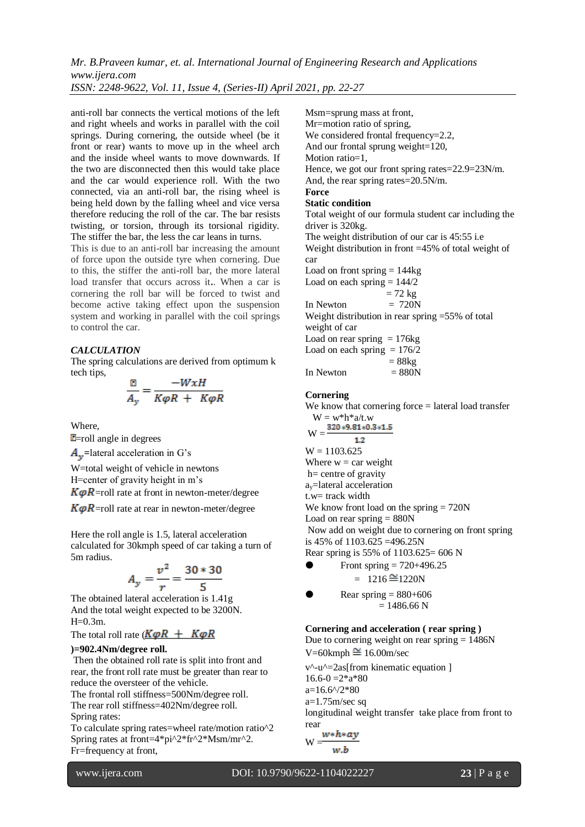*Mr. B.Praveen kumar, et. al. International Journal of Engineering Research and Applications www.ijera.com*

*ISSN: 2248-9622, Vol. 11, Issue 4, (Series-II) April 2021, pp. 22-27*

anti-roll bar connects the vertical motions of the left and right wheels and works in parallel with the coil springs. During cornering, the outside wheel (be it front or rear) wants to move up in the wheel arch and the inside wheel wants to move downwards. If the two are disconnected then this would take place and the car would experience roll. With the two connected, via an anti-roll bar, the rising wheel is being held down by the falling wheel and vice versa therefore reducing the roll of the car. The bar resists twisting, or torsion, through its torsional rigidity. The stiffer the bar, the less the car leans in turns.

This is due to an anti-roll bar increasing the amount of force upon the outside tyre when cornering. Due to this, the stiffer the anti-roll bar, the more lateral load transfer that occurs across it**.**. When a car is cornering the roll bar will be forced to twist and become active taking effect upon the suspension system and working in parallel with the coil springs to control the car.

## *CALCULATION*

The spring calculations are derived from optimum k tech tips,

$$
\frac{\mathbb{E}}{A_y} = \frac{-WxH}{K\varphi R + K\varphi R}
$$

Where,

 $E$ =roll angle in degrees

 $A_{\mathbf{v}}$ =lateral acceleration in G's

W=total weight of vehicle in newtons H=center of gravity height in m's

 $K\varphi R$ =roll rate at front in newton-meter/degree

 $K\varphi R$ =roll rate at rear in newton-meter/degree

Here the roll angle is 1.5, lateral acceleration calculated for 30kmph speed of car taking a turn of 5m radius.

$$
A_y = \frac{v^2}{r} = \frac{30 * 30}{5}
$$

The obtained lateral acceleration is 1.41g And the total weight expected to be 3200N.  $H=0.3m$ .

The total roll rate  $(K\varphi R + K\varphi R)$ 

## **)=902.4Nm/degree roll.**

Then the obtained roll rate is split into front and rear, the front roll rate must be greater than rear to reduce the oversteer of the vehicle.

The frontal roll stiffness=500Nm/degree roll. The rear roll stiffness=402Nm/degree roll.

Spring rates:

To calculate spring rates=wheel rate/motion ratio^2 Spring rates at front=4\*pi^2\*fr^2\*Msm/mr^2. Fr=frequency at front,

Msm=sprung mass at front, Mr=motion ratio of spring, We considered frontal frequency=2.2, And our frontal sprung weight=120, Motion ratio=1. Hence, we got our front spring rates=22.9=23N/m. And, the rear spring rates=20.5N/m. **Force Static condition**  Total weight of our formula student car including the driver is 320kg. The weight distribution of our car is 45:55 i.e Weight distribution in front =45% of total weight of car Load on front spring  $= 144$ kg Load on each spring  $= 144/2$  $= 72 \text{ kg}$ In Newton  $= 720N$ Weight distribution in rear spring =55% of total weight of car Load on rear spring  $= 176$ kg Load on each spring  $= 176/2$ 

$$
= 88kg
$$
  
In Newton = 880N

## **Cornering**

We know that cornering force = lateral load transfer  $W = w^*h^*a/t.w$  $W = \frac{320*9.81*0.3*1.5}{$  $1.2$  $W = 1103.625$ Where  $w = \text{car weight}$ h= centre of gravity ay=lateral acceleration t.w= track width We know front load on the spring = 720N Load on rear spring  $= 880N$ Now add on weight due to cornering on front spring is 45% of 1103.625 =496.25N Rear spring is 55% of 1103.625= 606 N

From spring = 
$$
720+496.25
$$
  
=  $1216 \approx 1220$ N

**9** Rear spring = 
$$
880+606
$$
  
= 1486.66 N

# **Cornering and acceleration ( rear spring )**

Due to cornering weight on rear spring  $= 1486N$  $V=60$ kmph $\cong 16.00$ m/sec

v^-u^=2as[from kinematic equation ]  $16.6 - 0 = 2 \cdot a \cdot 80$  $a=16.6^{4}/2*80$ a=1.75m/sec sq longitudinal weight transfer take place from front to rear

$$
W = \frac{w * h * ay}{w.b}
$$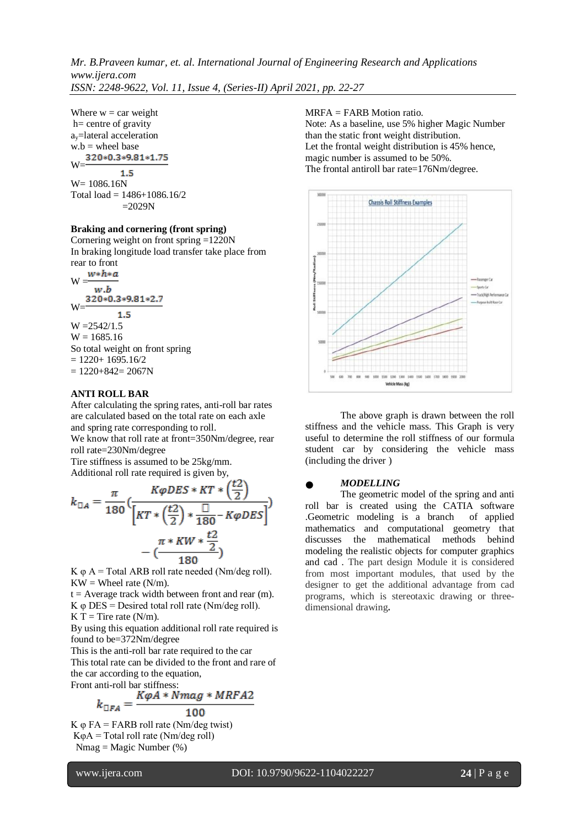Where  $w = \text{car weight}$ h= centre of gravity ay=lateral acceleration  $w.b =$  wheel base<br>320\*0.3\*9.81\*1.75 W=  $1.5$ W= 1086.16N

Total load =  $1486 + 1086.16/2$  $=2029N$ 

#### **Braking and cornering (front spring)**

Cornering weight on front spring =1220N In braking longitude load transfer take place from rear to front

 $W \frac{w*h*a}{m}$ w.b  $W = \frac{320*0.3*9.81*2.7}{8}$  $1.5$  $W = 2542/1.5$  $W = 1685.16$ So total weight on front spring  $= 1220 + 1695.16/2$  $= 1220 + 842 = 2067N$ 

#### **ANTI ROLL BAR**

After calculating the spring rates, anti-roll bar rates are calculated based on the total rate on each axle and spring rate corresponding to roll.

We know that roll rate at front=350Nm/degree, rear roll rate=230Nm/degree

Tire stiffness is assumed to be 25kg/mm. Additional roll rate required is given by,

$$
k_{\text{A}} = \frac{\pi}{180} \left( \frac{K\varphi DES \times KT \times \left( \frac{t2}{2} \right)}{\left[ KT \times \left( \frac{t2}{2} \right) \times \frac{\Box}{180} - K\varphi DES \right]} \right) - \left( \frac{\pi \times KW \times \frac{t2}{2}}{180} \right)
$$

K  $\varphi$  A = Total ARB roll rate needed (Nm/deg roll).  $KW = Whole$  rate  $(N/m)$ .

 $t =$  Average track width between front and rear (m). K  $\varphi$  DES = Desired total roll rate (Nm/deg roll).  $K T =$  Tire rate (N/m).

By using this equation additional roll rate required is found to be=372Nm/degree

This is the anti-roll bar rate required to the car This total rate can be divided to the front and rare of

the car according to the equation, Front anti-roll bar stiffness:

$$
k_{\Box FA} = \frac{K\varphi A * Nmag * MRFA2}{100}
$$

K  $φ$  FA = FARB roll rate (Nm/deg twist)  $K\varphi A = \text{Total roll rate (Nm/deg roll)}$  $Nmag = Magic Number (%)$ 

# MRFA = FARB Motion ratio.

Note: As a baseline, use 5% higher Magic Number than the static front weight distribution. Let the frontal weight distribution is 45% hence, magic number is assumed to be 50%. The frontal antiroll bar rate=176Nm/degree.



The above graph is drawn between the roll stiffness and the vehicle mass. This Graph is very useful to determine the roll stiffness of our formula student car by considering the vehicle mass (including the driver )

### ● *MODELLING*

The geometric model of the spring and anti roll bar is created using the CATIA software .Geometric modeling is a branch of applied mathematics and computational geometry that discusses the mathematical methods behind modeling the realistic objects for computer graphics and cad . The part design Module it is considered from most important modules, that used by the designer to get the additional advantage from cad programs, which is stereotaxic drawing or threedimensional drawing**.**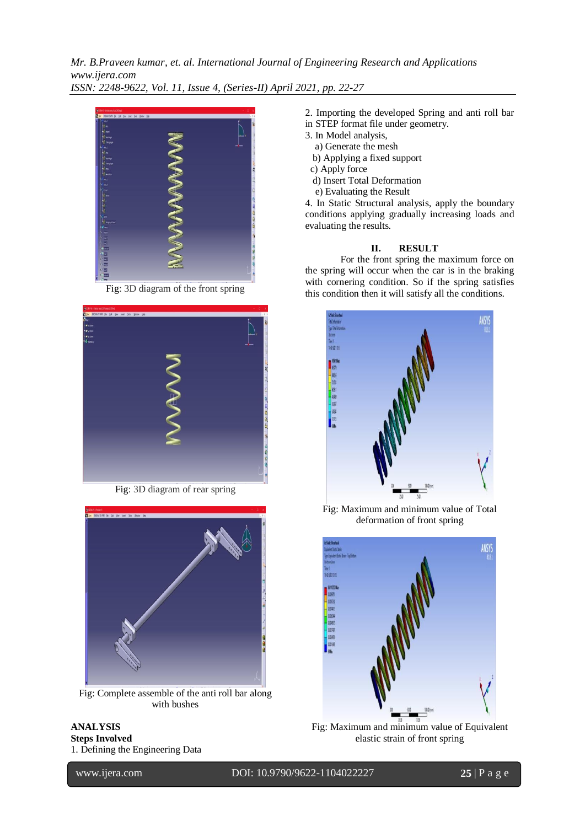

Fig: 3D diagram of the front spring



Fig: 3D diagram of rear spring



Fig: Complete assemble of the anti roll bar along with bushes

#### **ANALYSIS Steps Involved** 1. Defining the Engineering Data

2. Importing the developed Spring and anti roll bar

- in STEP format file under geometry.
- 3. In Model analysis,
- a) Generate the mesh
- b) Applying a fixed support
- c) Apply force
- d) Insert Total Deformation
- e) Evaluating the Result

4. In Static Structural analysis, apply the boundary conditions applying gradually increasing loads and evaluating the results.

#### **II. RESULT**

For the front spring the maximum force on the spring will occur when the car is in the braking with cornering condition. So if the spring satisfies this condition then it will satisfy all the conditions.



Fig: Maximum and minimum value of Total deformation of front spring



Fig: Maximum and minimum value of Equivalent elastic strain of front spring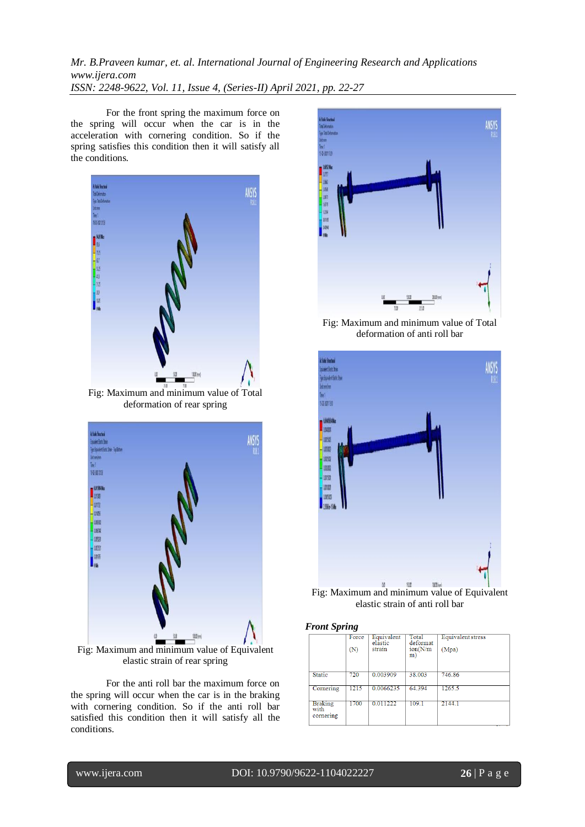For the front spring the maximum force on the spring will occur when the car is in the acceleration with cornering condition. So if the spring satisfies this condition then it will satisfy all the conditions.



Fig: Maximum and minimum value of Total deformation of rear spring



Fig: Maximum and minimum value of Equivalent elastic strain of rear spring

For the anti roll bar the maximum force on the spring will occur when the car is in the braking with cornering condition. So if the anti roll bar satisfied this condition then it will satisfy all the conditions.



Fig: Maximum and minimum value of Total deformation of anti roll bar



Fig: Maximum and minimum value of Equivalent elastic strain of anti roll bar

#### *Front Spring*

|                                     | Force<br>(N) | Equivalent<br>elastic<br>strain | Total<br>deformat<br>ion(N/m)<br>m) | Equivalent stress<br>(Mpa) |
|-------------------------------------|--------------|---------------------------------|-------------------------------------|----------------------------|
| <b>Static</b>                       | 720          | 0.003909                        | 38,003                              | 746.86                     |
| Cornering                           | 1215         | 0.0066235                       | 64.394                              | 1265.5                     |
| <b>Braking</b><br>with<br>cornering | 1700         | 0.011222                        | 109.1                               | 2144.1                     |